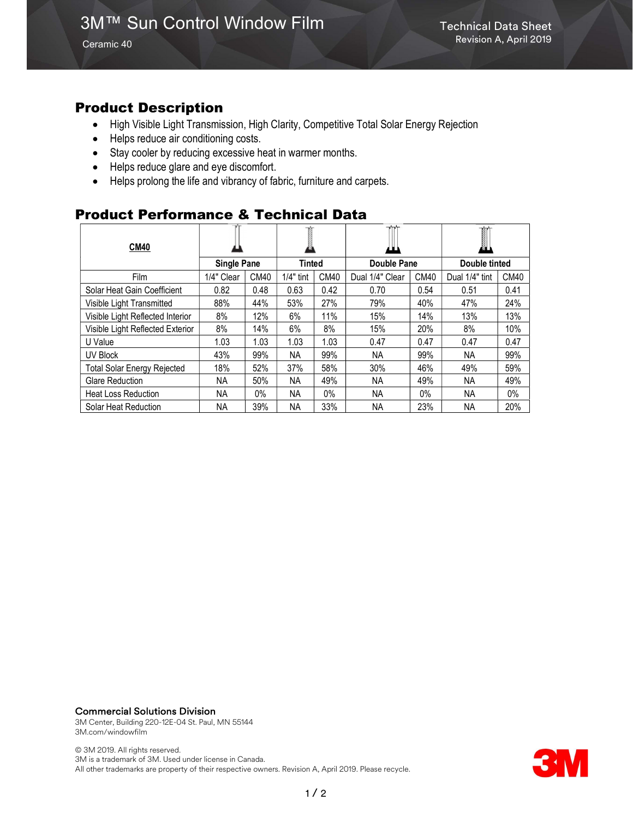Ceramic 40

## Product Description

- High Visible Light Transmission, High Clarity, Competitive Total Solar Energy Rejection
- Helps reduce air conditioning costs.
- Stay cooler by reducing excessive heat in warmer months.
- Helps reduce glare and eye discomfort.
- Helps prolong the life and vibrancy of fabric, furniture and carpets.

## Product Performance & Technical Data

| <b>CM40</b>                        |                    |             |             |                  | $\mathbf{v}$<br>ш |       | Ĩ<br>a.        |       |
|------------------------------------|--------------------|-------------|-------------|------------------|-------------------|-------|----------------|-------|
|                                    | <b>Single Pane</b> |             | Tinted      |                  | Double Pane       |       | Double tinted  |       |
| Film                               | 1/4" Clear         | <b>CM40</b> | $1/4"$ tint | CM <sub>40</sub> | Dual 1/4" Clear   | CM40  | Dual 1/4" tint | CM40  |
| Solar Heat Gain Coefficient        | 0.82               | 0.48        | 0.63        | 0.42             | 0.70              | 0.54  | 0.51           | 0.41  |
| Visible Light Transmitted          | 88%                | 44%         | 53%         | 27%              | 79%               | 40%   | 47%            | 24%   |
| Visible Light Reflected Interior   | 8%                 | 12%         | 6%          | 11%              | 15%               | 14%   | 13%            | 13%   |
| Visible Light Reflected Exterior   | 8%                 | 14%         | 6%          | 8%               | 15%               | 20%   | 8%             | 10%   |
| U Value                            | 1.03               | 1.03        | 1.03        | 1.03             | 0.47              | 0.47  | 0.47           | 0.47  |
| UV Block                           | 43%                | 99%         | ΝA          | 99%              | NA.               | 99%   | NA             | 99%   |
| <b>Total Solar Energy Rejected</b> | 18%                | 52%         | 37%         | 58%              | 30%               | 46%   | 49%            | 59%   |
| <b>Glare Reduction</b>             | NA.                | 50%         | NА          | 49%              | NA.               | 49%   | NA.            | 49%   |
| <b>Heat Loss Reduction</b>         | NA.                | $0\%$       | <b>NA</b>   | $0\%$            | <b>NA</b>         | $0\%$ | NA.            | $0\%$ |
| Solar Heat Reduction               | ΝA                 | 39%         | <b>NA</b>   | 33%              | NA.               | 23%   | NА             | 20%   |

#### Commercial Solutions Division

3M Center, Building 220-12E-04 St. Paul, MN 55144 3M.com/windowfilm

© 3M 2019. All rights reserved. 3M is a trademark of 3M. Used under license in Canada. All other trademarks are property of their respective owners. Revision A, April 2019. Please recycle.